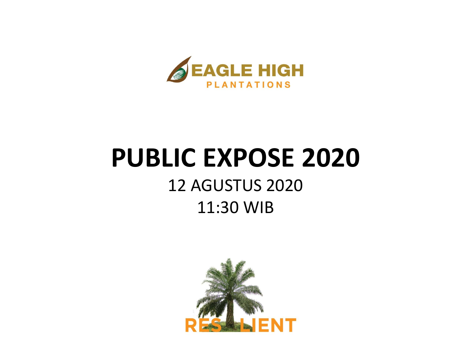

# **PUBLIC EXPOSE 2020**

#### 12 AGUSTUS 2020 11:30 WIB

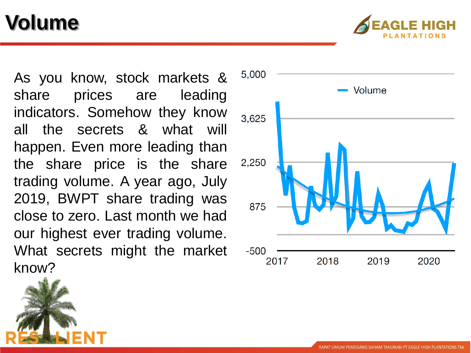## **Volume**



As you know, stock markets & share prices are leading indicators . Somehow they know all the secrets & what will happen . Even more leading than the share price is the share trading volume . A year ago, July 2019 , BWPT share trading was close to zero . Last month we had our highest ever trading volume . What secrets might the market know?

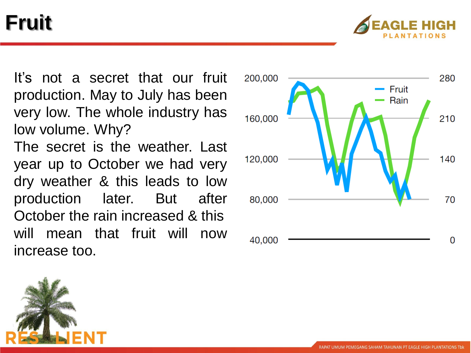## **Fruit**



It's not a secret that our fruit production. May to July has been very low. The whole industry has low volume. Why?

The secret is the weather. Last year up to October we had very dry weather & this leads to low production later. But after October the rain increased & this will mean that fruit will now increase too.



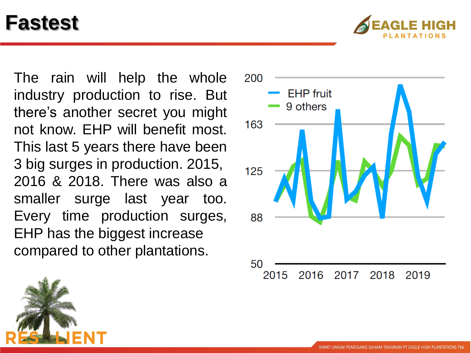#### **Fastest**



The rain will help the whole industry production to rise. But there's another secret you might not know. EHP will benefit most. This last 5 years there have been 3 big surges in production. 2015, 2016 & 2018. There was also a smaller surge last year too. Every time production surges, EHP has the biggest increase compared to other plantations.

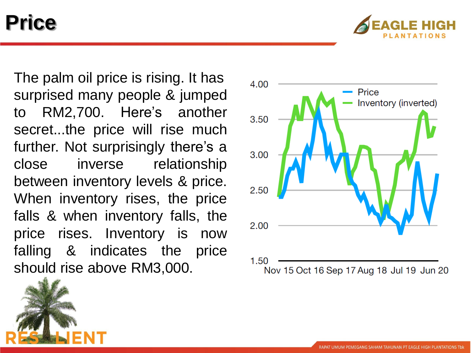#### **Price**



The palm oil price is rising . It has surprised many people & jumped to RM 2 ,700 . Here's another secret...the price will rise much further . Not surprisingly there's a close inverse relationship between inventory levels & price . When inventory rises, the price falls & when inventory falls, the price rises . Inventory is now falling & indicates the price should rise above RM 3 ,000 .